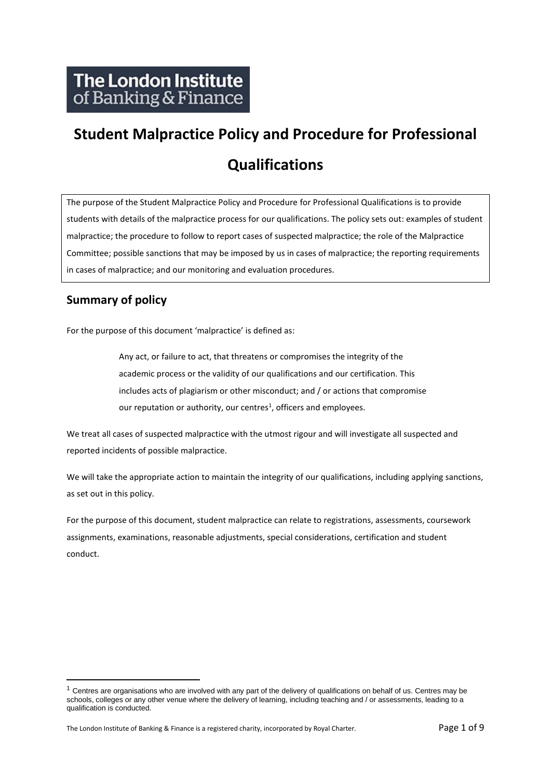# **Student Malpractice Policy and Procedure for Professional Qualifications**

The purpose of the Student Malpractice Policy and Procedure for Professional Qualifications is to provide students with details of the malpractice process for our qualifications. The policy sets out: examples of student malpractice; the procedure to follow to report cases of suspected malpractice; the role of the Malpractice Committee; possible sanctions that may be imposed by us in cases of malpractice; the reporting requirements in cases of malpractice; and our monitoring and evaluation procedures.

## **Summary of policy**

For the purpose of this document 'malpractice' is defined as:

Any act, or failure to act, that threatens or compromises the integrity of the academic process or the validity of our qualifications and our certification. This includes acts of plagiarism or other misconduct; and / or actions that compromise our reputation or authority, our centres<sup>1</sup>, officers and employees.

We treat all cases of suspected malpractice with the utmost rigour and will investigate all suspected and reported incidents of possible malpractice.

We will take the appropriate action to maintain the integrity of our qualifications, including applying sanctions, as set out in this policy.

For the purpose of this document, student malpractice can relate to registrations, assessments, coursework assignments, examinations, reasonable adjustments, special considerations, certification and student conduct.

 $1$  Centres are organisations who are involved with any part of the delivery of qualifications on behalf of us. Centres may be schools, colleges or any other venue where the delivery of learning, including teaching and / or assessments, leading to a qualification is conducted.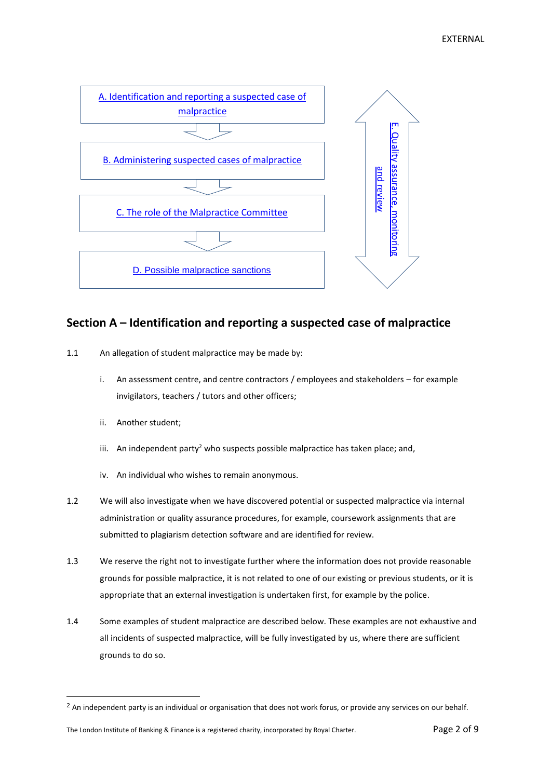

### <span id="page-1-0"></span>**Section A – Identification and reporting a suspected case of malpractice**

- 1.1 An allegation of student malpractice may be made by:
	- i. An assessment centre, and centre contractors / employees and stakeholders for example invigilators, teachers / tutors and other officers;
	- ii. Another student;
	- iii. An independent party<sup>2</sup> who suspects possible malpractice has taken place; and,
	- iv. An individual who wishes to remain anonymous.
- 1.2 We will also investigate when we have discovered potential or suspected malpractice via internal administration or quality assurance procedures, for example, coursework assignments that are submitted to plagiarism detection software and are identified for review.
- 1.3 We reserve the right not to investigate further where the information does not provide reasonable grounds for possible malpractice, it is not related to one of our existing or previous students, or it is appropriate that an external investigation is undertaken first, for example by the police.
- 1.4 Some examples of student malpractice are described below. These examples are not exhaustive and all incidents of suspected malpractice, will be fully investigated by us, where there are sufficient grounds to do so.

<sup>&</sup>lt;sup>2</sup> An independent party is an individual or organisation that does not work forus, or provide any services on our behalf.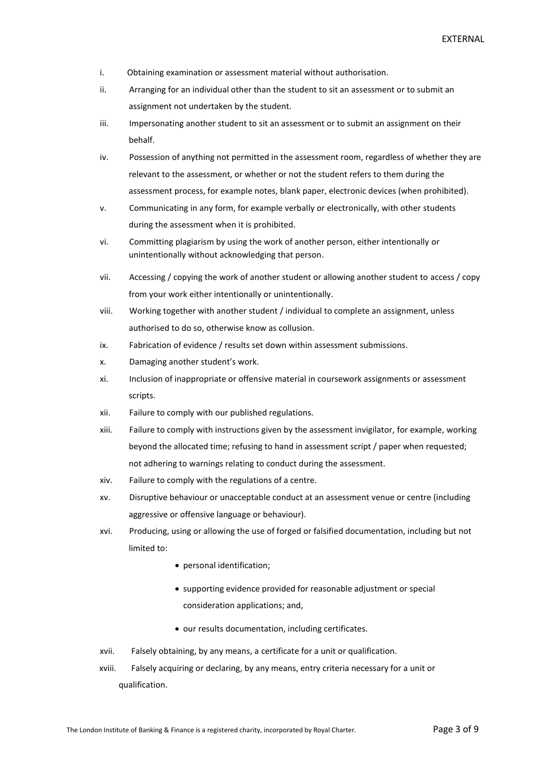- i. Obtaining examination or assessment material without authorisation.
- ii. Arranging for an individual other than the student to sit an assessment or to submit an assignment not undertaken by the student.
- iii. Impersonating another student to sit an assessment or to submit an assignment on their behalf.
- iv. Possession of anything not permitted in the assessment room, regardless of whether they are relevant to the assessment, or whether or not the student refers to them during the assessment process, for example notes, blank paper, electronic devices (when prohibited).
- v. Communicating in any form, for example verbally or electronically, with other students during the assessment when it is prohibited.
- vi. Committing plagiarism by using the work of another person, either intentionally or unintentionally without acknowledging that person.
- vii. Accessing / copying the work of another student or allowing another student to access / copy from your work either intentionally or unintentionally.
- viii. Working together with another student / individual to complete an assignment, unless authorised to do so, otherwise know as collusion.
- ix. Fabrication of evidence / results set down within assessment submissions.
- x. Damaging another student's work.
- xi. Inclusion of inappropriate or offensive material in coursework assignments or assessment scripts.
- xii. Failure to comply with our published regulations.
- xiii. Failure to comply with instructions given by the assessment invigilator, for example, working beyond the allocated time; refusing to hand in assessment script / paper when requested; not adhering to warnings relating to conduct during the assessment.
- xiv. Failure to comply with the regulations of a centre.
- xv. Disruptive behaviour or unacceptable conduct at an assessment venue or centre (including aggressive or offensive language or behaviour).
- xvi. Producing, using or allowing the use of forged or falsified documentation, including but not limited to:
	- personal identification;
	- supporting evidence provided for reasonable adjustment or special consideration applications; and,
	- our results documentation, including certificates.
- xvii. Falsely obtaining, by any means, a certificate for a unit or qualification.
- xviii. Falsely acquiring or declaring, by any means, entry criteria necessary for a unit or qualification.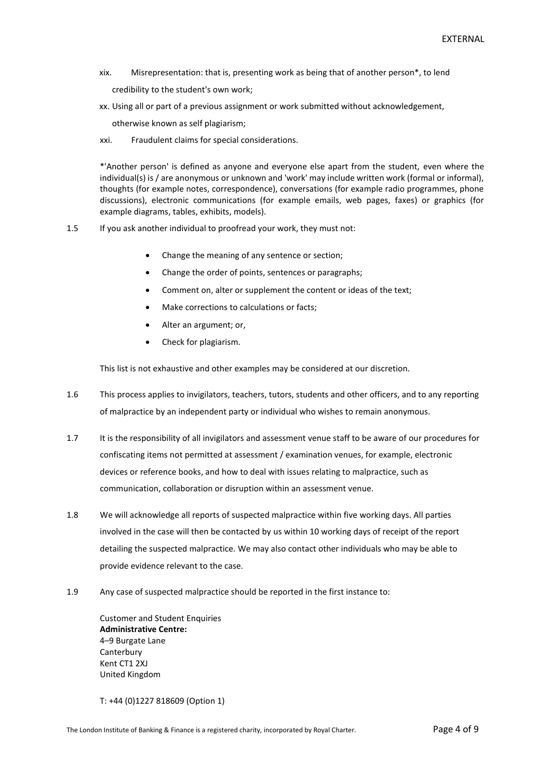xix. Misrepresentation: that is, presenting work as being that of another person\*, to lend

credibility to the student's own work;

xx. Using all or part of a previous assignment or work submitted without acknowledgement,

otherwise known as self plagiarism;

xxi. Fraudulent claims for special considerations.

\*'Another person' is defined as anyone and everyone else apart from the student, even where the individual(s) is / are anonymous or unknown and 'work' may include written work (formal or informal), thoughts (for example notes, correspondence), conversations (for example radio programmes, phone discussions), electronic communications (for example emails, web pages, faxes) or graphics (for example diagrams, tables, exhibits, models).

- 1.5 If you ask another individual to proofread your work, they must not:
	- Change the meaning of any sentence or section;
	- Change the order of points, sentences or paragraphs;
	- Comment on, alter or supplement the content or ideas of the text;
	- Make corrections to calculations or facts;
	- Alter an argument; or,
	- Check for plagiarism.

This list is not exhaustive and other examples may be considered at our discretion.

- 1.6 This process applies to invigilators, teachers, tutors, students and other officers, and to any reporting of malpractice by an independent party or individual who wishes to remain anonymous.
- 1.7 It is the responsibility of all invigilators and assessment venue staff to be aware of our procedures for confiscating items not permitted at assessment / examination venues, for example, electronic devices or reference books, and how to deal with issues relating to malpractice, such as communication, collaboration or disruption within an assessment venue.
- 1.8 We will acknowledge all reports of suspected malpractice within five working days. All parties involved in the case will then be contacted by us within 10 working days of receipt of the report detailing the suspected malpractice. We may also contact other individuals who may be able to provide evidence relevant to the case.
- 1.9 Any case of suspected malpractice should be reported in the first instance to:

Customer and Student Enquiries **Administrative Centre:** 4–9 Burgate Lane Canterbury Kent CT1 2XJ United Kingdom

T: +44 (0)1227 818609 (Option 1)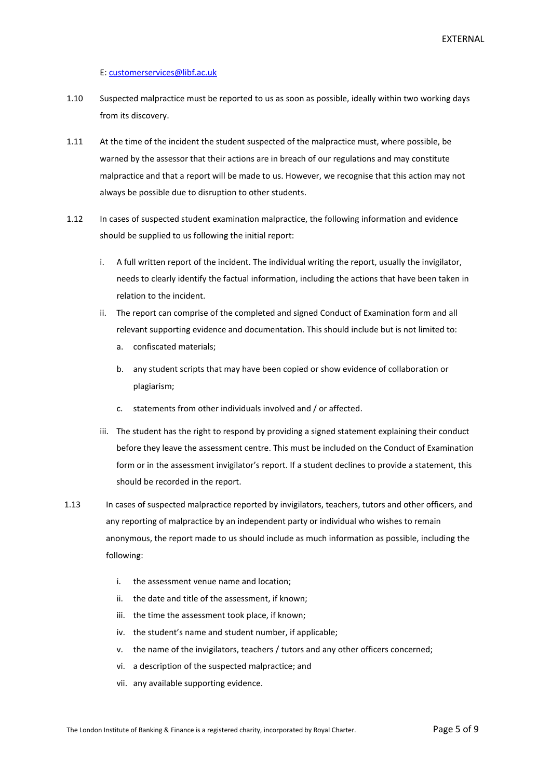EXTERNAL

#### E: [customerservices@libf.ac.uk](mailto:customerservices@libf.ac.uk)

- 1.10 Suspected malpractice must be reported to us as soon as possible, ideally within two working days from its discovery.
- 1.11 At the time of the incident the student suspected of the malpractice must, where possible, be warned by the assessor that their actions are in breach of our regulations and may constitute malpractice and that a report will be made to us. However, we recognise that this action may not always be possible due to disruption to other students.
- 1.12 In cases of suspected student examination malpractice, the following information and evidence should be supplied to us following the initial report:
	- i. A full written report of the incident. The individual writing the report, usually the invigilator, needs to clearly identify the factual information, including the actions that have been taken in relation to the incident.
	- ii. The report can comprise of the completed and signed Conduct of Examination form and all relevant supporting evidence and documentation. This should include but is not limited to:
		- a. confiscated materials;
		- b. any student scripts that may have been copied or show evidence of collaboration or plagiarism;
		- c. statements from other individuals involved and / or affected.
	- iii. The student has the right to respond by providing a signed statement explaining their conduct before they leave the assessment centre. This must be included on the Conduct of Examination form or in the assessment invigilator's report. If a student declines to provide a statement, this should be recorded in the report.
- 1.13 In cases of suspected malpractice reported by invigilators, teachers, tutors and other officers, and any reporting of malpractice by an independent party or individual who wishes to remain anonymous, the report made to us should include as much information as possible, including the following:
	- i. the assessment venue name and location;
	- ii. the date and title of the assessment, if known;
	- iii. the time the assessment took place, if known;
	- iv. the student's name and student number, if applicable;
	- v. the name of the invigilators, teachers / tutors and any other officers concerned;
	- vi. a description of the suspected malpractice; and
	- vii. any available supporting evidence.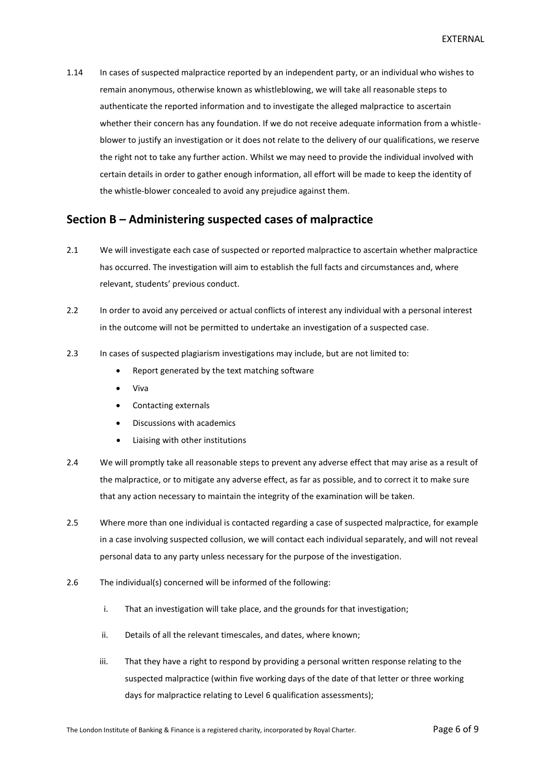1.14 In cases of suspected malpractice reported by an independent party, or an individual who wishes to remain anonymous, otherwise known as whistleblowing, we will take all reasonable steps to authenticate the reported information and to investigate the alleged malpractice to ascertain whether their concern has any foundation. If we do not receive adequate information from a whistleblower to justify an investigation or it does not relate to the delivery of our qualifications, we reserve the right not to take any further action. Whilst we may need to provide the individual involved with certain details in order to gather enough information, all effort will be made to keep the identity of the whistle-blower concealed to avoid any prejudice against them.

#### <span id="page-5-0"></span>**Section B – Administering suspected cases of malpractice**

- 2.1 We will investigate each case of suspected or reported malpractice to ascertain whether malpractice has occurred. The investigation will aim to establish the full facts and circumstances and, where relevant, students' previous conduct.
- 2.2 In order to avoid any perceived or actual conflicts of interest any individual with a personal interest in the outcome will not be permitted to undertake an investigation of a suspected case.
- 2.3 In cases of suspected plagiarism investigations may include, but are not limited to:
	- Report generated by the text matching software
	- Viva
	- Contacting externals
	- Discussions with academics
	- Liaising with other institutions
- 2.4 We will promptly take all reasonable steps to prevent any adverse effect that may arise as a result of the malpractice, or to mitigate any adverse effect, as far as possible, and to correct it to make sure that any action necessary to maintain the integrity of the examination will be taken.
- 2.5 Where more than one individual is contacted regarding a case of suspected malpractice, for example in a case involving suspected collusion, we will contact each individual separately, and will not reveal personal data to any party unless necessary for the purpose of the investigation.
- 2.6 The individual(s) concerned will be informed of the following:
	- i. That an investigation will take place, and the grounds for that investigation;
	- ii. Details of all the relevant timescales, and dates, where known;
	- iii. That they have a right to respond by providing a personal written response relating to the suspected malpractice (within five working days of the date of that letter or three working days for malpractice relating to Level 6 qualification assessments);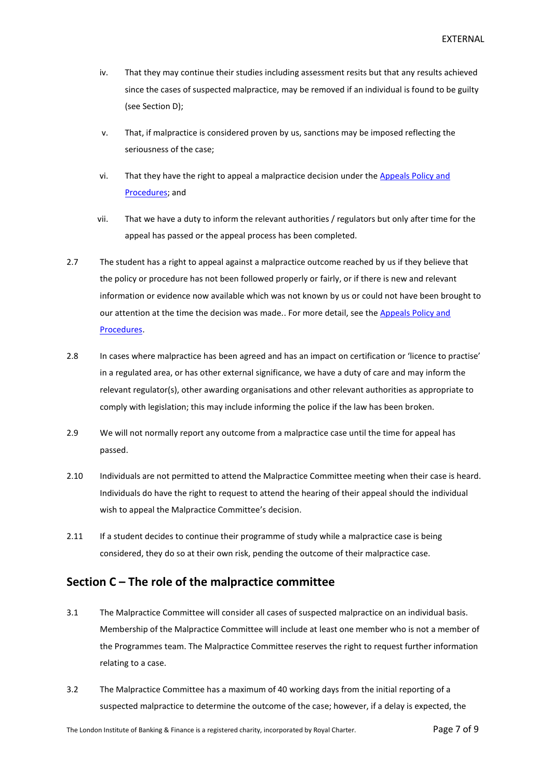- iv. That they may continue their studies including assessment resits but that any results achieved since the cases of suspected malpractice, may be removed if an individual is found to be guilty (see Section D);
- v. That, if malpractice is considered proven by us, sanctions may be imposed reflecting the seriousness of the case;
- vi. That they have the right to appeal a malpractice decision under the Appeals Policy and [Procedures;](http://www.libf.ac.uk/docs/default-source/Shared-FC-CPQ-policies/Shared-FC-CPQ-policies/appeals-policy.pdf?sfvrsn=0) and
- vii. That we have a duty to inform the relevant authorities / regulators but only after time for the appeal has passed or the appeal process has been completed.
- 2.7 The student has a right to appeal against a malpractice outcome reached by us if they believe that the policy or procedure has not been followed properly or fairly, or if there is new and relevant information or evidence now available which was not known by us or could not have been brought to our attention at the time the decision was made.. For more detail, see the [Appeals Policy and](http://www.libf.ac.uk/docs/default-source/Shared-FC-CPQ-policies/Shared-FC-CPQ-policies/appeals-policy.pdf?sfvrsn=0)  [Procedures.](http://www.libf.ac.uk/docs/default-source/Shared-FC-CPQ-policies/Shared-FC-CPQ-policies/appeals-policy.pdf?sfvrsn=0)
- 2.8 In cases where malpractice has been agreed and has an impact on certification or 'licence to practise' in a regulated area, or has other external significance, we have a duty of care and may inform the relevant regulator(s), other awarding organisations and other relevant authorities as appropriate to comply with legislation; this may include informing the police if the law has been broken.
- 2.9 We will not normally report any outcome from a malpractice case until the time for appeal has passed.
- 2.10 Individuals are not permitted to attend the Malpractice Committee meeting when their case is heard. Individuals do have the right to request to attend the hearing of their appeal should the individual wish to appeal the Malpractice Committee's decision.
- 2.11 If a student decides to continue their programme of study while a malpractice case is being considered, they do so at their own risk, pending the outcome of their malpractice case.

#### <span id="page-6-0"></span>**Section C – The role of the malpractice committee**

- 3.1 The Malpractice Committee will consider all cases of suspected malpractice on an individual basis. Membership of the Malpractice Committee will include at least one member who is not a member of the Programmes team. The Malpractice Committee reserves the right to request further information relating to a case.
- 3.2 The Malpractice Committee has a maximum of 40 working days from the initial reporting of a suspected malpractice to determine the outcome of the case; however, if a delay is expected, the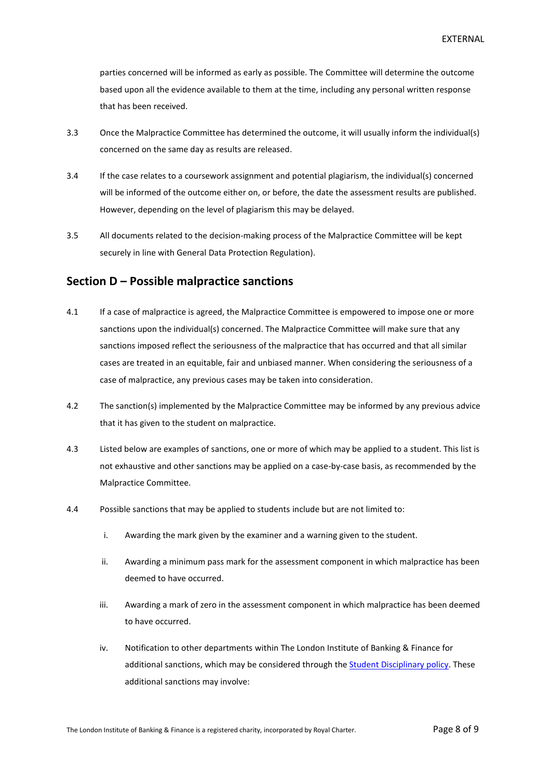parties concerned will be informed as early as possible. The Committee will determine the outcome based upon all the evidence available to them at the time, including any personal written response that has been received.

- 3.3 Once the Malpractice Committee has determined the outcome, it will usually inform the individual(s) concerned on the same day as results are released.
- 3.4 If the case relates to a coursework assignment and potential plagiarism, the individual(s) concerned will be informed of the outcome either on, or before, the date the assessment results are published. However, depending on the level of plagiarism this may be delayed.
- 3.5 All documents related to the decision-making process of the Malpractice Committee will be kept securely in line with General Data Protection Regulation).

#### <span id="page-7-0"></span>**Section D – Possible malpractice sanctions**

- 4.1 If a case of malpractice is agreed, the Malpractice Committee is empowered to impose one or more sanctions upon the individual(s) concerned. The Malpractice Committee will make sure that any sanctions imposed reflect the seriousness of the malpractice that has occurred and that all similar cases are treated in an equitable, fair and unbiased manner. When considering the seriousness of a case of malpractice, any previous cases may be taken into consideration.
- 4.2 The sanction(s) implemented by the Malpractice Committee may be informed by any previous advice that it has given to the student on malpractice.
- 4.3 Listed below are examples of sanctions, one or more of which may be applied to a student. This list is not exhaustive and other sanctions may be applied on a case-by-case basis, as recommended by the Malpractice Committee.
- 4.4 Possible sanctions that may be applied to students include but are not limited to:
	- i. Awarding the mark given by the examiner and a warning given to the student.
	- ii. Awarding a minimum pass mark for the assessment component in which malpractice has been deemed to have occurred.
	- iii. Awarding a mark of zero in the assessment component in which malpractice has been deemed to have occurred.
	- iv. Notification to other departments within The London Institute of Banking & Finance for additional sanctions, which may be considered through th[e Student Disciplinary policy.](http://www.libf.ac.uk/docs/default-source/cpq/cpq-policies/student-disciplinary-policy.pdf?sfvrsn=2) These additional sanctions may involve: